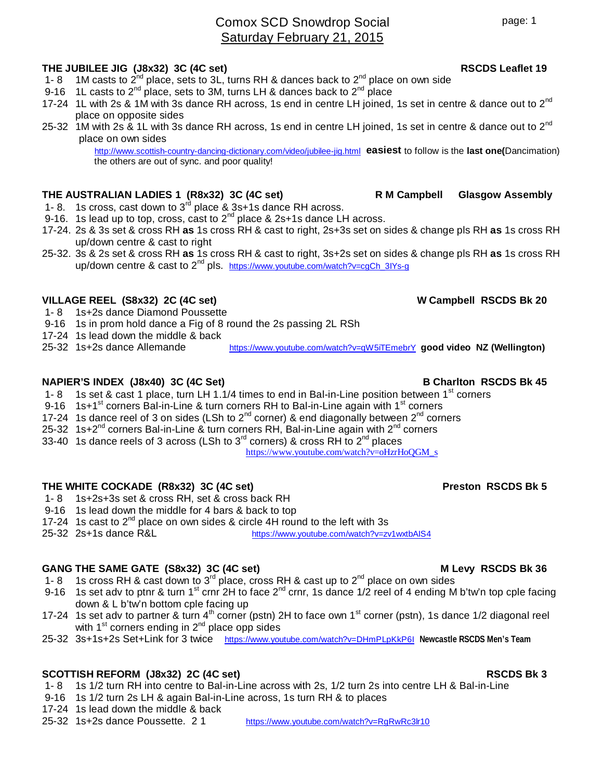# Comox SCD Snowdrop Social Saturday February 21, 2015

### **THE JUBILEE JIG (J8x32) 3C (4C set) RSCDS Leaflet 19**

- 1- 8 1M casts to  $2^{nd}$  place, sets to 3L, turns RH & dances back to  $2^{nd}$  place on own side
- 9-16 1L casts to  $2^{nd}$  place, sets to 3M, turns LH & dances back to  $2^{nd}$  place
- 17-24 1L with 2s & 1M with 3s dance RH across, 1s end in centre LH joined, 1s set in centre & dance out to 2<sup>nd</sup> place on opposite sides
- 25-32 1M with 2s & 1L with 3s dance RH across, 1s end in centre LH joined, 1s set in centre & dance out to  $2^{nd}$ place on own sides

http://www.scottish-country-dancing-dictionary.com/video/jubilee-jig.html **easiest** to follow is the **last one(**Dancimation) the others are out of sync. and poor quality!

# **THE AUSTRALIAN LADIES 1 (R8x32) 3C (4C set) R M Campbell Glasgow Assembly**

- 1- 8. 1s cross, cast down to  $3<sup>rd</sup>$  place & 3s+1s dance RH across.
- 9-16. 1s lead up to top, cross, cast to  $2^{nd}$  place & 2s+1s dance LH across.
- 17-24. 2s & 3s set & cross RH **as** 1s cross RH & cast to right, 2s+3s set on sides & change pls RH **as** 1s cross RH up/down centre & cast to right
- 25-32. 3s & 2s set & cross RH **as** 1s cross RH & cast to right, 3s+2s set on sides & change pls RH **as** 1s cross RH up/down centre & cast to 2<sup>nd</sup> pls. https://www.youtube.com/watch?v=cqCh\_3IYs-q

### **VILLAGE REEL (S8x32) 2C (4C set) W Campbell RSCDS Bk 20**

- 1- 8 1s+2s dance Diamond Poussette
- 9-16 1s in prom hold dance a Fig of 8 round the 2s passing 2L RSh
- 17-24 1s lead down the middle & back<br>25-32 1s+2s dance Allemande
- 

### **NAPIER'S INDEX (J8x40) 3C (4C Set)** B Charlton RSCDS Bk 45

- 1- 8 1s set & cast 1 place, turn LH 1.1/4 times to end in Bal-in-Line position between 1<sup>st</sup> corners
- 9-16 1s+1<sup>st</sup> corners Bal-in-Line & turn corners RH to Bal-in-Line again with 1<sup>st</sup> corners
- 17-24 1s dance reel of 3 on sides (LSh to  $2^{nd}$  corner) & end diagonally between  $2^{nd}$  corners
- 25-32 1s+2<sup>nd</sup> corners Bal-in-Line & turn corners RH, Bal-in-Line again with 2<sup>nd</sup> corners
- 33-40 1s dance reels of 3 across (LSh to  $3^{rd}$  corners) & cross RH to  $2^{nd}$  places

https://www.youtube.com/watch?v=oHzrHoQGM\_s

https://www.youtube.com/watch?v=qW5iTEmebrY **good video NZ (Wellington)** 

### THE WHITE COCKADE (R8x32) 3C (4C set) **Preston RSCDS Bk 5**

- 1- 8 1s+2s+3s set & cross RH, set & cross back RH
- 9-16 1s lead down the middle for 4 bars & back to top
- 17-24 1s cast to 2<sup>nd</sup> place on own sides & circle 4H round to the left with 3s<br>25-32 2s+1s dance R&L<br>bttps://www.youtube.com/watch?v=zy
- 25-32 2s+1s dance R&L https://www.youtube.com/watch?v=zv1wxtbAIS4

# GANG THE SAME GATE (S8x32) 3C (4C set) **M** Levy RSCDS Bk 36

- 1- 8 1s cross RH & cast down to  $3^{rd}$  place, cross RH & cast up to  $2^{nd}$  place on own sides
- 9-16 1s set adv to ptnr & turn 1<sup>st</sup> crnr 2H to face 2<sup>nd</sup> crnr, 1s dance 1/2 reel of 4 ending M b'tw'n top cple facing down & L b'tw'n bottom cple facing up
- 17-24 1s set adv to partner & turn  $4<sup>th</sup>$  corner (pstn) 2H to face own 1<sup>st</sup> corner (pstn), 1s dance 1/2 diagonal reel with  $1<sup>st</sup>$  corners ending in  $2<sup>nd</sup>$  place opp sides
- 25-32 3s+1s+2s Set+Link for 3 twice https://www.youtube.com/watch?v=DHmPLpKkP6I **Newcastle RSCDS Men's Team**

### **SCOTTISH REFORM (J8x32) 2C (4C set) RSCDS Bk 3**

- 1- 8 1s 1/2 turn RH into centre to Bal-in-Line across with 2s, 1/2 turn 2s into centre LH & Bal-in-Line
- 9-16 1s 1/2 turn 2s LH & again Bal-in-Line across, 1s turn RH & to places
- 17-24 1s lead down the middle & back<br>25-32 1s+2s dance Poussette. 21
- 
- https://www.youtube.com/watch?v=RgRwRc3lr10

page: 1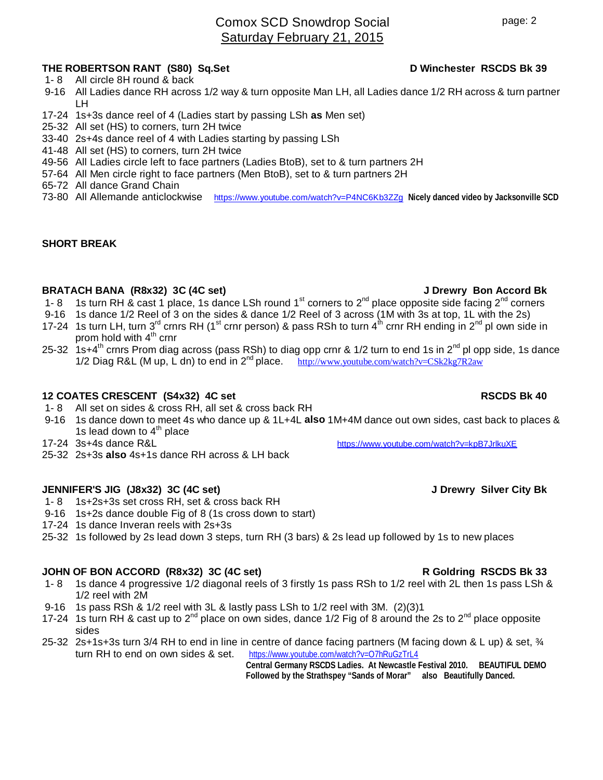# Comox SCD Snowdrop Social Saturday February 21, 2015

# **THE ROBERTSON RANT (S80) Sq.Set D Winchester RSCDS Bk 39**

- 1- 8 All circle 8H round & back
- 9-16 All Ladies dance RH across 1/2 way & turn opposite Man LH, all Ladies dance 1/2 RH across & turn partner LH
- 17-24 1s+3s dance reel of 4 (Ladies start by passing LSh **as** Men set)
- 25-32 All set (HS) to corners, turn 2H twice
- 33-40 2s+4s dance reel of 4 with Ladies starting by passing LSh
- 41-48 All set (HS) to corners, turn 2H twice
- 49-56 All Ladies circle left to face partners (Ladies BtoB), set to & turn partners 2H
- 57-64 All Men circle right to face partners (Men BtoB), set to & turn partners 2H
- 65-72 All dance Grand Chain
- 73-80 All Allemande anticlockwise https://www.youtube.com/watch?v=P4NC6Kb3ZZg **Nicely danced video by Jacksonville SCD**

### **SHORT BREAK**

### **BRATACH BANA (R8x32) 3C (4C set) J Drewry Bon Accord Bk**

- 1- 8 1s turn RH & cast 1 place, 1s dance LSh round 1<sup>st</sup> corners to 2<sup>nd</sup> place opposite side facing 2<sup>nd</sup> corners
- 9-16 1s dance 1/2 Reel of 3 on the sides & dance 1/2 Reel of 3 across (1M with 3s at top, 1L with the 2s)
- 17-24 1s turn LH, turn 3<sup>rd</sup> crnrs RH (1<sup>st</sup> crnr person) & pass RSh to turn 4<sup>th</sup> crnr RH ending in 2<sup>nd</sup> pl own side in prom hold with  $4<sup>th</sup>$  crnr
- 25-32 1s+4<sup>th</sup> crnrs Prom diag across (pass RSh) to diag opp crnr & 1/2 turn to end 1s in 2<sup>nd</sup> pl opp side, 1s dance 1/2 Diag R&L (M up, L dn) to end in  $2^{nd}$  place. http://www.youtube.com/watch?v=CSk2kg7R2aw

# **12 COATES CRESCENT (S4x32) 4C set RSCDS Bk 40**

- 1- 8 All set on sides & cross RH, all set & cross back RH
- 9-16 1s dance down to meet 4s who dance up & 1L+4L **also** 1M+4M dance out own sides, cast back to places & 1s lead down to  $4<sup>th</sup>$  place
- 17-24 3s+4s dance R&L https://www.youtube.com/watch?v=kpB7JrlkuXE
- 25-32 2s+3s **also** 4s+1s dance RH across & LH back

### **JENNIFER'S JIG (J8x32) 3C (4C set) J Drewry Silver City Bk**

- 1- 8 1s+2s+3s set cross RH, set & cross back RH
- 9-16 1s+2s dance double Fig of 8 (1s cross down to start)
- 17-24 1s dance Inveran reels with 2s+3s
- 25-32 1s followed by 2s lead down 3 steps, turn RH (3 bars) & 2s lead up followed by 1s to new places

### **JOHN OF BON ACCORD (R8x32) 3C (4C set) R Goldring RSCDS Bk 33**

- 1- 8 1s dance 4 progressive 1/2 diagonal reels of 3 firstly 1s pass RSh to 1/2 reel with 2L then 1s pass LSh & 1/2 reel with 2M
- 9-16 1s pass RSh & 1/2 reel with 3L & lastly pass LSh to 1/2 reel with 3M. (2)(3)1
- 17-24 1s turn RH & cast up to  $2^{nd}$  place on own sides, dance 1/2 Fig of 8 around the 2s to  $2^{nd}$  place opposite sides
- 25-32 2s+1s+3s turn 3/4 RH to end in line in centre of dance facing partners (M facing down & L up) & set, ¾ turn RH to end on own sides & set. https://www.youtube.com/watch?v=07hRuGzTrL4 https://www.youtube.com/watch?v=O7hRuGzTrL4

**Central Germany RSCDS Ladies. At Newcastle Festival 2010. BEAUTIFUL DEMO Followed by the Strathspey "Sands of Morar" also Beautifully Danced.**

# page: 2